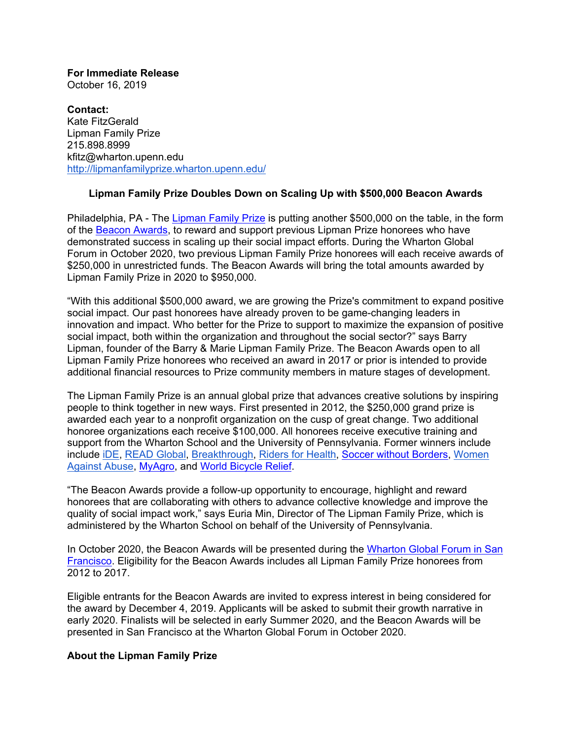**For Immediate Release** October 16, 2019

**Contact:** Kate FitzGerald Lipman Family Prize 215.898.8999 kfitz@wharton.upenn.edu http://lipmanfamilyprize.wharton.upenn.edu/

## **Lipman Family Prize Doubles Down on Scaling Up with \$500,000 Beacon Awards**

Philadelphia, PA - The Lipman Family Prize is putting another \$500,000 on the table, in the form of the Beacon Awards, to reward and support previous Lipman Prize honorees who have demonstrated success in scaling up their social impact efforts. During the Wharton Global Forum in October 2020, two previous Lipman Family Prize honorees will each receive awards of \$250,000 in unrestricted funds. The Beacon Awards will bring the total amounts awarded by Lipman Family Prize in 2020 to \$950,000.

"With this additional \$500,000 award, we are growing the Prize's commitment to expand positive social impact. Our past honorees have already proven to be game-changing leaders in innovation and impact. Who better for the Prize to support to maximize the expansion of positive social impact, both within the organization and throughout the social sector?" says Barry Lipman, founder of the Barry & Marie Lipman Family Prize. The Beacon Awards open to all Lipman Family Prize honorees who received an award in 2017 or prior is intended to provide additional financial resources to Prize community members in mature stages of development.

The Lipman Family Prize is an annual global prize that advances creative solutions by inspiring people to think together in new ways. First presented in 2012, the \$250,000 grand prize is awarded each year to a nonprofit organization on the cusp of great change. Two additional honoree organizations each receive \$100,000. All honorees receive executive training and support from the Wharton School and the University of Pennsylvania. Former winners include include iDE, READ Global, Breakthrough, Riders for Health, Soccer without Borders, Women Against Abuse, MyAgro, and World Bicycle Relief.

"The Beacon Awards provide a follow-up opportunity to encourage, highlight and reward honorees that are collaborating with others to advance collective knowledge and improve the quality of social impact work," says Euria Min, Director of The Lipman Family Prize, which is administered by the Wharton School on behalf of the University of Pennsylvania.

In October 2020, the Beacon Awards will be presented during the Wharton Global Forum in San Francisco. Eligibility for the Beacon Awards includes all Lipman Family Prize honorees from 2012 to 2017.

Eligible entrants for the Beacon Awards are invited to express interest in being considered for the award by December 4, 2019. Applicants will be asked to submit their growth narrative in early 2020. Finalists will be selected in early Summer 2020, and the Beacon Awards will be presented in San Francisco at the Wharton Global Forum in October 2020.

## **About the Lipman Family Prize**